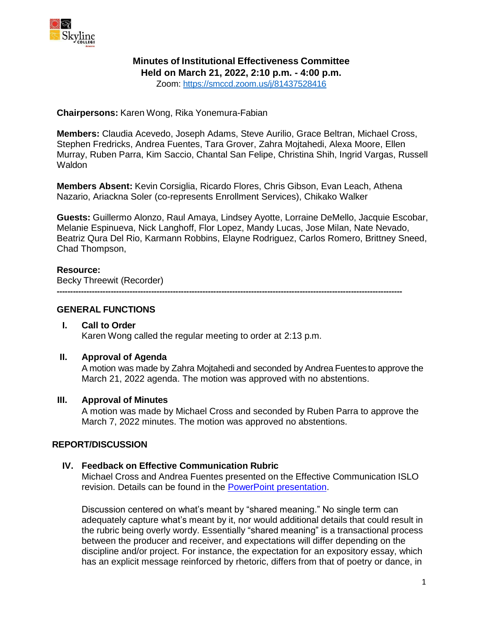

# **Minutes of Institutional Effectiveness Committee**

**Held on March 21, 2022, 2:10 p.m. - 4:00 p.m.**

Zoom: <https://smccd.zoom.us/j/81437528416>

**Chairpersons:** Karen Wong, Rika Yonemura-Fabian

**Members:** Claudia Acevedo, Joseph Adams, Steve Aurilio, Grace Beltran, Michael Cross, Stephen Fredricks, Andrea Fuentes, Tara Grover, Zahra Mojtahedi, Alexa Moore, Ellen Murray, Ruben Parra, Kim Saccio, Chantal San Felipe, Christina Shih, Ingrid Vargas, Russell **Waldon** 

**Members Absent:** Kevin Corsiglia, Ricardo Flores, Chris Gibson, Evan Leach, Athena Nazario, Ariackna Soler (co-represents Enrollment Services), Chikako Walker

**Guests:** Guillermo Alonzo, Raul Amaya, Lindsey Ayotte, Lorraine DeMello, Jacquie Escobar, Melanie Espinueva, Nick Langhoff, Flor Lopez, Mandy Lucas, Jose Milan, Nate Nevado, Beatriz Qura Del Rio, Karmann Robbins, Elayne Rodriguez, Carlos Romero, Brittney Sneed, Chad Thompson,

# **Resource:**

Becky Threewit (Recorder)

**--------------------------------------------------------------------------------------------------------------------------------**

# **GENERAL FUNCTIONS**

# **I. Call to Order** Karen Wong called the regular meeting to order at 2:13 p.m.

## **II. Approval of Agenda**

A motion was made by Zahra Mojtahedi and seconded by Andrea Fuentes to approve the March 21, 2022 agenda. The motion was approved with no abstentions.

# **III. Approval of Minutes**

A motion was made by Michael Cross and seconded by Ruben Parra to approve the March 7, 2022 minutes. The motion was approved no abstentions.

### **REPORT/DISCUSSION**

# **IV. Feedback on Effective Communication Rubric**

Michael Cross and Andrea Fuentes presented on the Effective Communication ISLO revision. Details can be found in the [PowerPoint presentation.](https://skylinecollege.edu/iec/assets/agendas/2021-2022/Effective%20Communication%20ISLO%20Revision.pdf)

Discussion centered on what's meant by "shared meaning." No single term can adequately capture what's meant by it, nor would additional details that could result in the rubric being overly wordy. Essentially "shared meaning" is a transactional process between the producer and receiver, and expectations will differ depending on the discipline and/or project. For instance, the expectation for an expository essay, which has an explicit message reinforced by rhetoric, differs from that of poetry or dance, in